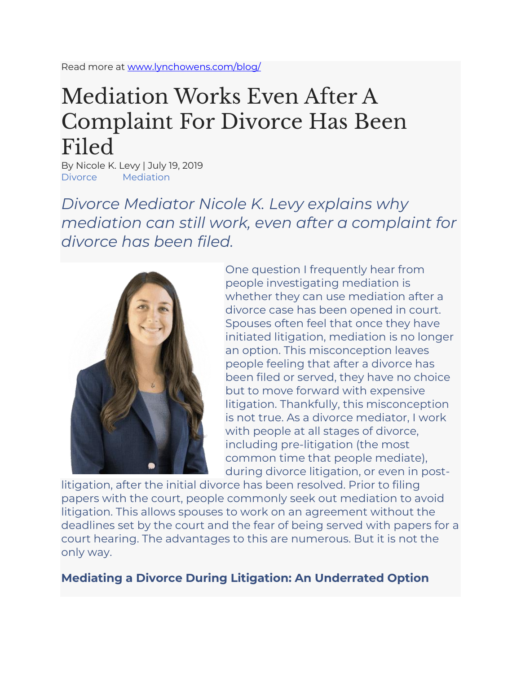Read more at [www.lynchowens.com/blog/](http://www.lynchowens.com/blog/)

## Mediation Works Even After A Complaint For Divorce Has Been Filed

By Nicole K. Levy | July 19, 2019 Divorce Mediation

*Divorce Mediator Nicole K. Levy explains why mediation can still work, even after a complaint for divorce has been filed.*



One question I frequently hear from people investigating mediation is whether they can use mediation after a divorce case has been opened in court. Spouses often feel that once they have initiated litigation, mediation is no longer an option. This misconception leaves people feeling that after a divorce has been filed or served, they have no choice but to move forward with expensive litigation. Thankfully, this misconception is not true. As a divorce mediator, I work with people at all stages of divorce, including pre-litigation (the most common time that people mediate), during divorce litigation, or even in post-

litigation, after the initial divorce has been resolved. Prior to filing papers with the court, people commonly seek out mediation to avoid litigation. This allows spouses to work on an agreement without the deadlines set by the court and the fear of being served with papers for a court hearing. The advantages to this are numerous. But it is not the only way.

## **Mediating a Divorce During Litigation: An Underrated Option**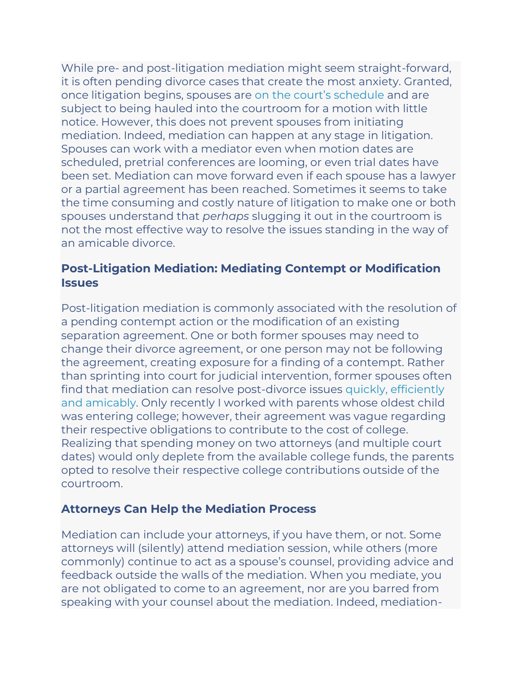While pre- and post-litigation mediation might seem straight-forward, it is often pending divorce cases that create the most anxiety. Granted, once litigation begins, spouses are [on the court's schedule](https://madivorcemediators.com/choose-mediation-divorce/#family-law-litigation-a-coercive-inflexible-process) and are subject to being hauled into the courtroom for a motion with little notice. However, this does not prevent spouses from initiating mediation. Indeed, mediation can happen at any stage in litigation. Spouses can work with a mediator even when motion dates are scheduled, pretrial conferences are looming, or even trial dates have been set. Mediation can move forward even if each spouse has a lawyer or a partial agreement has been reached. Sometimes it seems to take the time consuming and costly nature of litigation to make one or both spouses understand that *perhaps* slugging it out in the courtroom is not the most effective way to resolve the issues standing in the way of an amicable divorce.

## **Post-Litigation Mediation: Mediating Contempt or Modification Issues**

Post-litigation mediation is commonly associated with the resolution of a pending contempt action or the modification of an existing separation agreement. One or both former spouses may need to change their divorce agreement, or one person may not be following the agreement, creating exposure for a finding of a contempt. Rather than sprinting into court for judicial intervention, former spouses often find that mediation can resolve post-divorce issues [quickly, efficiently](https://madivorcemediators.com/even-unsuccessful-mediation-narrows-issues-litigation/#mediation-resolves-these-issues-amicably)  [and amicably.](https://madivorcemediators.com/even-unsuccessful-mediation-narrows-issues-litigation/#mediation-resolves-these-issues-amicably) Only recently I worked with parents whose oldest child was entering college; however, their agreement was vague regarding their respective obligations to contribute to the cost of college. Realizing that spending money on two attorneys (and multiple court dates) would only deplete from the available college funds, the parents opted to resolve their respective college contributions outside of the courtroom.

## **Attorneys Can Help the Mediation Process**

Mediation can include your attorneys, if you have them, or not. Some attorneys will (silently) attend mediation session, while others (more commonly) continue to act as a spouse's counsel, providing advice and feedback outside the walls of the mediation. When you mediate, you are not obligated to come to an agreement, nor are you barred from speaking with your counsel about the mediation. Indeed, mediation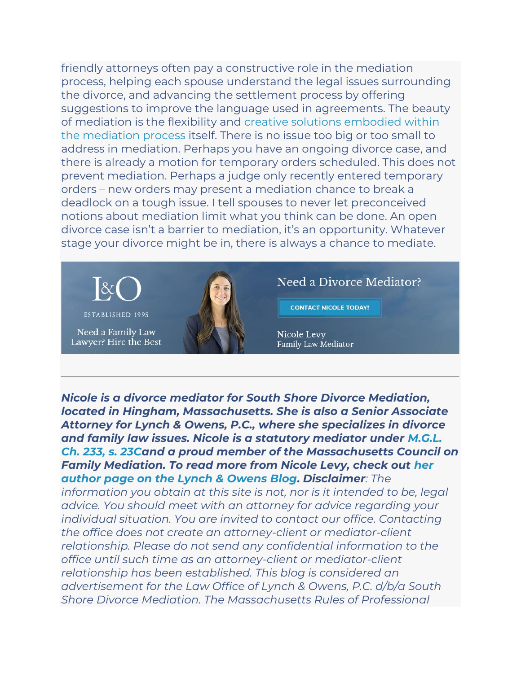friendly attorneys often pay a constructive role in the mediation process, helping each spouse understand the legal issues surrounding the divorce, and advancing the settlement process by offering suggestions to improve the language used in agreements. The beauty of mediation is the flexibility and [creative solutions embodied within](https://madivorcemediators.com/mediation-rewards-creativity-resolve-disputes/)  [the mediation process](https://madivorcemediators.com/mediation-rewards-creativity-resolve-disputes/) itself. There is no issue too big or too small to address in mediation. Perhaps you have an ongoing divorce case, and there is already a motion for temporary orders scheduled. This does not prevent mediation. Perhaps a judge only recently entered temporary orders – new orders may present a mediation chance to break a deadlock on a tough issue. I tell spouses to never let preconceived notions about mediation limit what you think can be done. An open divorce case isn't a barrier to mediation, it's an opportunity. Whatever stage your divorce might be in, there is always a chance to mediate.



Need a Divorce Mediator?

**CONTACT NICOLE TODAY!** 

Nicole Levy Family Law Mediator

*Nicole is a divorce mediator for South Shore Divorce Mediation, located in Hingham, Massachusetts. She is also a Senior Associate Attorney for Lynch & Owens, P.C., where she specializes in divorce and family law issues. Nicole is a statutory mediator under [M.G.L.](https://malegislature.gov/Laws/GeneralLaws/PartIII/TitleII/Chapter233/Section23c)  [Ch. 233, s. 23Ca](https://malegislature.gov/Laws/GeneralLaws/PartIII/TitleII/Chapter233/Section23c)nd a proud member of the Massachusetts Council on Family Mediation. To read more from Nicole Levy, check out [her](https://lynchowens.com/author/nicole-levy/)  [author page on the Lynch & Owens Blog.](https://lynchowens.com/author/nicole-levy/) Disclaimer: The* 

*information you obtain at this site is not, nor is it intended to be, legal advice. You should meet with an attorney for advice regarding your individual situation. You are invited to contact our office. Contacting the office does not create an attorney-client or mediator-client relationship. Please do not send any confidential information to the office until such time as an attorney-client or mediator-client relationship has been established. This blog is considered an advertisement for the Law Office of Lynch & Owens, P.C. d/b/a South Shore Divorce Mediation. The Massachusetts Rules of Professional*